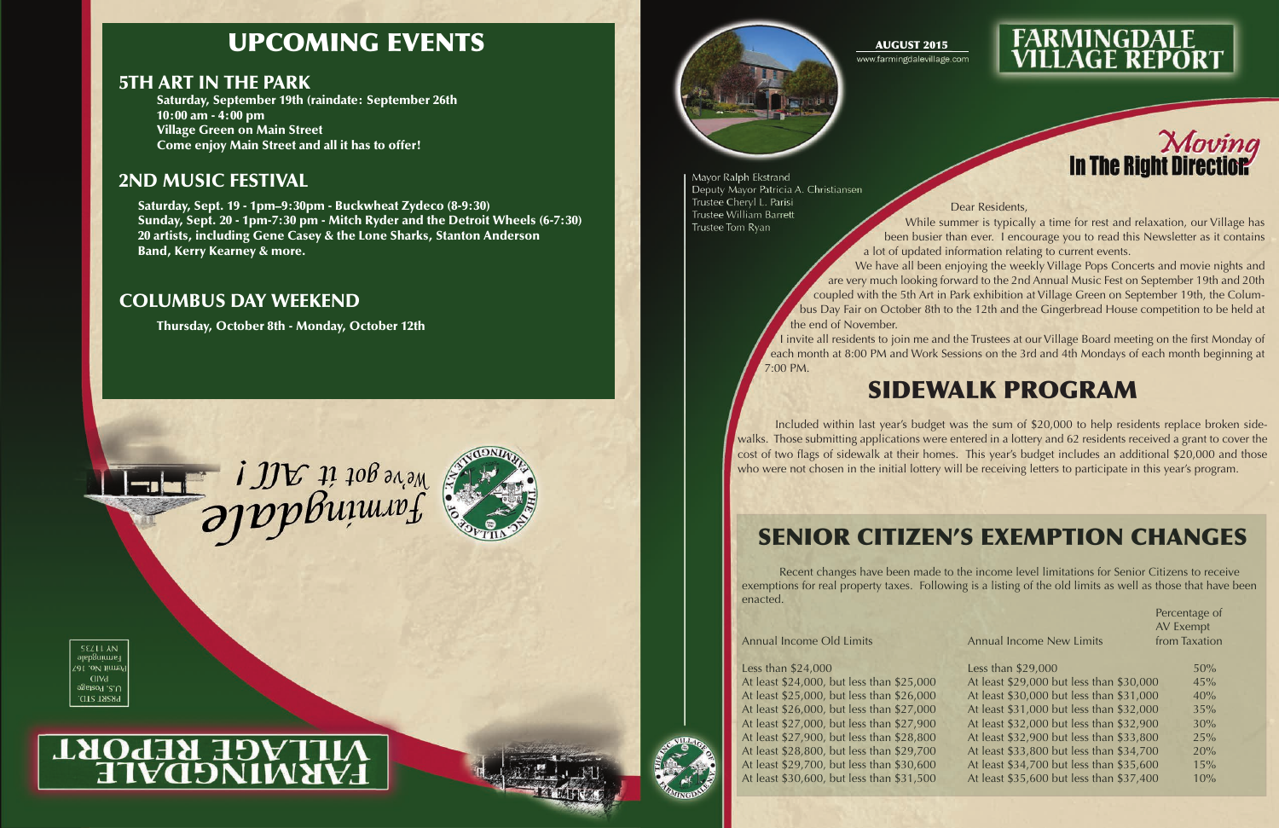### AUGUST 2015

Mayor Ralph Ekstrand Deputy Mayor Patricia A. Christiansen Trustee Cheryl L. Parisi **Trustee William Barrett** Trustee Tom Ryan

#### Dear Residents,

While summer is typically a time for rest and relaxation, our Village has been busier than ever. I encourage you to read this Newsletter as it contains a lot of updated information relating to current events. We have all been enjoying the weekly Village Pops Concerts and movie nights and are very much looking forward to the 2nd Annual Music Fest on September 19th and 20th coupled with the 5th Art in Park exhibition at Village Green on September 19th, the Columbus Day Fair on October 8th to the 12th and the Gingerbread House competition to be held at the end of November. I invite all residents to join me and the Trustees at our Village Board meeting on the first Monday of each month at 8:00 PM and Work Sessions on the 3rd and 4th Mondays of each month beginning at 7:00 PM.

## UPCOMING EVENTS

### 5TH ART IN THE PARK

Saturday, September 19th (raindate: September 26th 10:00 am - 4:00 pm Village Green on Main Street Come enjoy Main Street and all it has to offer!

### 2ND MUSIC FESTIVAL

Saturday, Sept. 19 - 1pm–9:30pm - Buckwheat Zydeco (8-9:30) Sunday, Sept. 20 - 1pm-7:30 pm - Mitch Ryder and the Detroit Wheels (6-7:30) 20 artists, including Gene Casey & the Lone Sharks, Stanton Anderson Band, Kerry Kearney & more.

### COLUMBUS DAY WEEKEND

Thursday, October 8th - Monday, October 12th







# **MILAGE REPORT**





### Senior Citizen's Exemption Changes

Recent changes have been made to the income level limitations for Senior Citizens to receive exemptions for real property taxes. Following is a listing of the old limits as well as those that have been enacted.

#### Less than  $$24,000$



# **FARMINGDALE<br>VILLAGE REPORT**



| <b>Annual Income Old Limits</b>           | <b>Annual Income New Limits</b>          | Percentage of<br>AV Exempt<br>from Taxation |
|-------------------------------------------|------------------------------------------|---------------------------------------------|
| Less than \$24,000                        | Less than \$29,000                       | 50%                                         |
| At least \$24,000, but less than \$25,000 | At least \$29,000 but less than \$30,000 | 45%                                         |
| At least \$25,000, but less than \$26,000 | At least \$30,000 but less than \$31,000 | 40%                                         |
| At least \$26,000, but less than \$27,000 | At least \$31,000 but less than \$32,000 | 35%                                         |
| At least \$27,000, but less than \$27,900 | At least \$32,000 but less than \$32,900 | 30%                                         |
| At least \$27,900, but less than \$28,800 | At least \$32,900 but less than \$33,800 | 25%                                         |
| At least \$28,800, but less than \$29,700 | At least \$33,800 but less than \$34,700 | 20%                                         |
| At least \$29,700, but less than \$30,600 | At least \$34,700 but less than \$35,600 | 15%                                         |
| At least \$30,600, but less than \$31,500 | At least \$35,600 but less than \$37,400 | 10%                                         |
|                                           |                                          |                                             |

## Sidewalk Program

Included within last year's budget was the sum of \$20,000 to help residents replace broken sidewalks. Those submitting applications were entered in a lottery and 62 residents received a grant to cover the cost of two flags of sidewalk at their homes. This year's budget includes an additional \$20,000 and those who were not chosen in the initial lottery will be receiving letters to participate in this year's program.